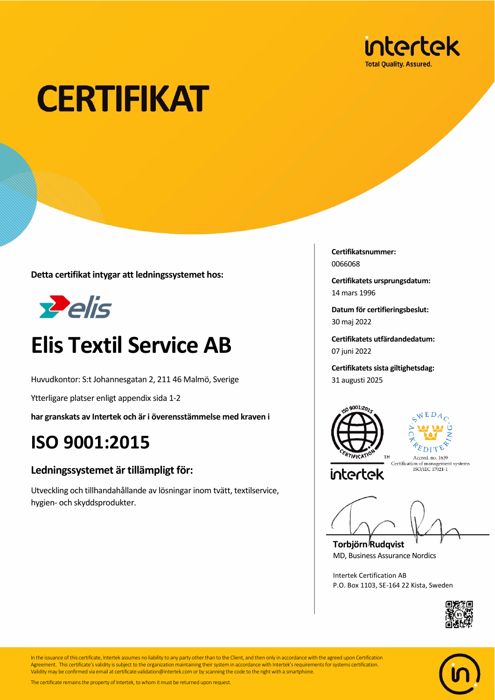

# **CERTIFIKAT**

**Detta certifikat intygar att ledningssystemet hos:**



### **Elis Textil Service AB**

Huvudkontor: S:t Johannesgatan 2, 211 46 Malmö, Sverige

Ytterligare platser enligt appendix sida 1-2

**har granskats av Intertek och är i överensstämmelse med kraven i**

### **ISO 9001:2015**

#### **Ledningssystemet är tillämpligt för:**

Utveckling och tillhandahållande av lösningar inom tvätt, textilservice, hygien- och skyddsprodukter.

**Certifikatsnummer:** 0066068

**Certifikatets ursprungsdatum:** 14 mars 1996

**Datum för certifieringsbeslut:** 30 maj 2022

**Certifikatets utfärdandedatum:** 07 juni 2022

**Certifikatets sista giltighetsdag:** 31 augusti 2025





Accred. no. 1639 Certification of management systems<br>ISO/IEC 17021-1

**Torbjörn Rudqvist** MD, Business Assurance Nordics

Intertek Certification AB P.O. Box 1103, SE-164 22 Kista, Sweden





In the issuance of this certificate, Intertek assumes no liability to any party other than to the Client, and then only in accordance with the agreed upon Certification Agreement. This certificate's validity is subject to the organization maintaining their system in accordance with Intertek's requirements for systems certification. Validity may be confirmed via email at certificate.validation@intertek.com or by scanning the code to the right with a smartphone.

The certificate remains the property of Intertek, to whom it must be returned upon request.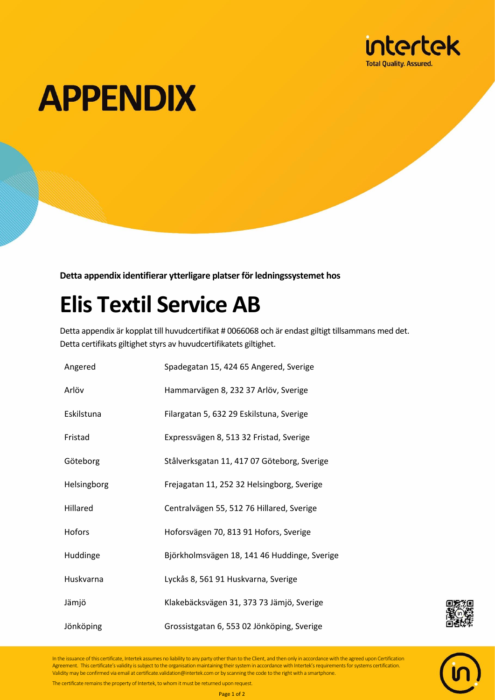

## **APPENDIX**

**Detta appendix identifierar ytterligare platser för ledningssystemet hos**

### **Elis Textil Service AB**

Detta appendix är kopplat till huvudcertifikat # 0066068 och är endast giltigt tillsammans med det. Detta certifikats giltighet styrs av huvudcertifikatets giltighet.

| Angered     | Spadegatan 15, 424 65 Angered, Sverige       |
|-------------|----------------------------------------------|
| Arlöv       | Hammarvägen 8, 232 37 Arlöv, Sverige         |
| Eskilstuna  | Filargatan 5, 632 29 Eskilstuna, Sverige     |
| Fristad     | Expressvägen 8, 513 32 Fristad, Sverige      |
| Göteborg    | Stålverksgatan 11, 417 07 Göteborg, Sverige  |
| Helsingborg | Frejagatan 11, 252 32 Helsingborg, Sverige   |
| Hillared    | Centralvägen 55, 512 76 Hillared, Sverige    |
| Hofors      | Hoforsvägen 70, 813 91 Hofors, Sverige       |
| Huddinge    | Björkholmsvägen 18, 141 46 Huddinge, Sverige |
| Huskvarna   | Lyckås 8, 561 91 Huskvarna, Sverige          |
| Jämjö       | Klakebäcksvägen 31, 373 73 Jämjö, Sverige    |
| Jönköping   | Grossistgatan 6, 553 02 Jönköping, Sverige   |



In the issuance of this certificate, Intertek assumes no liability to any party other than to the Client, and then only in accordance with the agreed upon Certification Agreement. This certificate's validity is subject to the organisation maintaining their system in accordance with Intertek's requirements for systems certification. Validity may be confirmed via email at certificate.validation@intertek.com or by scanning the code to the right with a smartphone.

The certificate remains the property of Intertek, to whom it must be returned upon request.